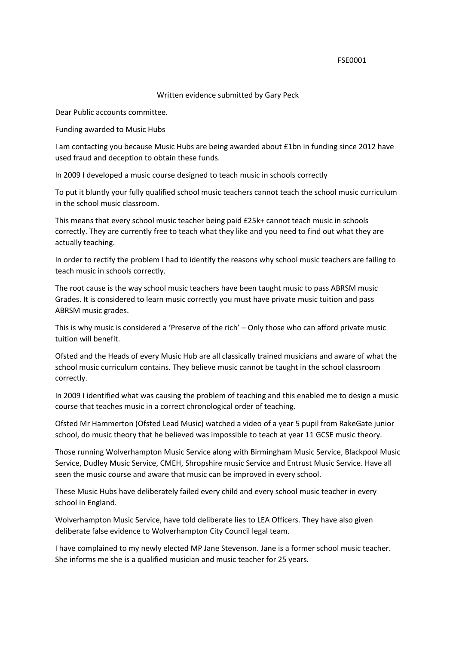## FSE0001

## Written evidence submitted by Gary Peck

Dear Public accounts committee.

Funding awarded to Music Hubs

I am contacting you because Music Hubs are being awarded about £1bn in funding since 2012 have used fraud and deception to obtain these funds.

In 2009 I developed a music course designed to teach music in schools correctly

To put it bluntly your fully qualified school music teachers cannot teach the school music curriculum in the school music classroom.

This means that every school music teacher being paid £25k+ cannot teach music in schools correctly. They are currently free to teach what they like and you need to find out what they are actually teaching.

In order to rectify the problem I had to identify the reasons why school music teachers are failing to teach music in schools correctly.

The root cause is the way school music teachers have been taught music to pass ABRSM music Grades. It is considered to learn music correctly you must have private music tuition and pass ABRSM music grades.

This is why music is considered a 'Preserve of the rich' – Only those who can afford private music tuition will benefit.

Ofsted and the Heads of every Music Hub are all classically trained musicians and aware of what the school music curriculum contains. They believe music cannot be taught in the school classroom correctly.

In 2009 I identified what was causing the problem of teaching and this enabled me to design a music course that teaches music in a correct chronological order of teaching.

Ofsted Mr Hammerton (Ofsted Lead Music) watched a video of a year 5 pupil from RakeGate junior school, do music theory that he believed was impossible to teach at year 11 GCSE music theory.

Those running Wolverhampton Music Service along with Birmingham Music Service, Blackpool Music Service, Dudley Music Service, CMEH, Shropshire music Service and Entrust Music Service. Have all seen the music course and aware that music can be improved in every school.

These Music Hubs have deliberately failed every child and every school music teacher in every school in England.

Wolverhampton Music Service, have told deliberate lies to LEA Officers. They have also given deliberate false evidence to Wolverhampton City Council legal team.

I have complained to my newly elected MP Jane Stevenson. Jane is a former school music teacher. She informs me she is a qualified musician and music teacher for 25 years.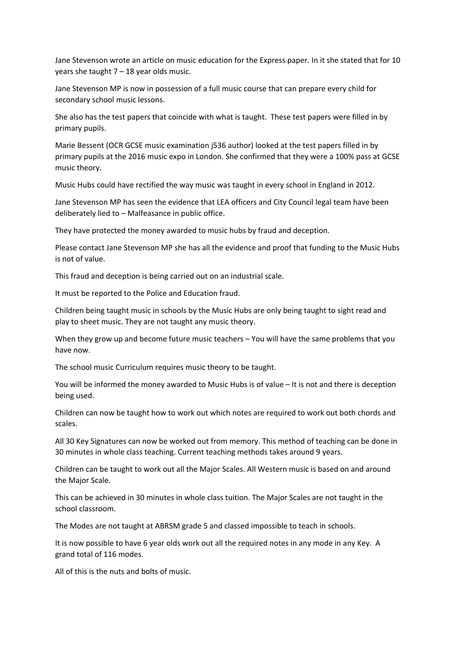Jane Stevenson wrote an article on music education for the Express paper. In it she stated that for 10 years she taught  $7 - 18$  year olds music.

Jane Stevenson MP is now in possession of a full music course that can prepare every child for secondary school music lessons.

She also has the test papers that coincide with what is taught. These test papers were filled in by primary pupils.

Marie Bessent (OCR GCSE music examination j536 author) looked at the test papers filled in by primary pupils at the 2016 music expo in London. She confirmed that they were a 100% pass at GCSE music theory.

Music Hubs could have rectified the way music was taught in every school in England in 2012.

Jane Stevenson MP has seen the evidence that LEA officers and City Council legal team have been deliberately lied to – Malfeasance in public office.

They have protected the money awarded to music hubs by fraud and deception.

Please contact Jane Stevenson MP she has all the evidence and proof that funding to the Music Hubs is not of value.

This fraud and deception is being carried out on an industrial scale.

It must be reported to the Police and Education fraud.

Children being taught music in schools by the Music Hubs are only being taught to sight read and play to sheet music. They are not taught any music theory.

When they grow up and become future music teachers – You will have the same problems that you have now.

The school music Curriculum requires music theory to be taught.

You will be informed the money awarded to Music Hubs is of value – It is not and there is deception being used.

Children can now be taught how to work out which notes are required to work out both chords and scales.

All 30 Key Signatures can now be worked out from memory. This method of teaching can be done in 30 minutes in whole class teaching. Current teaching methods takes around 9 years.

Children can be taught to work out all the Major Scales. All Western music is based on and around the Major Scale.

This can be achieved in 30 minutes in whole class tuition. The Major Scales are not taught in the school classroom.

The Modes are not taught at ABRSM grade 5 and classed impossible to teach in schools.

It is now possible to have 6 year olds work out all the required notes in any mode in any Key. A grand total of 116 modes.

All of this is the nuts and bolts of music.